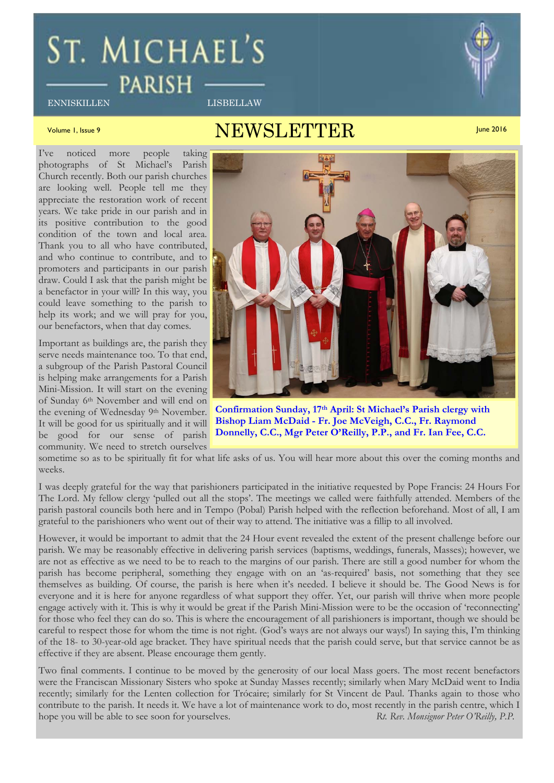# ST. MICHAEL'S **PARISH**

ENNISKILLEN LISBELLAW

# Volume 1, Issue 9 June 2016

I've noticed more people taking photographs of St Michael's Parish Church recently. Both our parish churches are looking well. People tell me they appreciate the restoration work of recent years. We take pride in our parish and in its positive contribution to the good condition of the town and local area. Thank you to all who have contributed, and who continue to contribute, and to promoters and participants in our parish draw. Could I ask that the parish might be a benefactor in your will? In this way, you could leave something to the parish to help its work; and we will pray for you, our benefactors, when that day comes.

Important as buildings are, the parish they serve needs maintenance too. To that end, a subgroup of the Parish Pastoral Council is helping make arrangements for a Parish Mini-Mission. It will start on the evening of Sunday 6th November and will end on the evening of Wednesday 9th November. It will be good for us spiritually and it will be good for our sense of parish community. We need to stretch ourselves



**Confirmation Sunday, 17th April: St Michael's Parish clergy with Bishop Liam McDaid - Fr. Joe McVeigh, C.C., Fr. Raymond Donnelly, C.C., Mgr Peter O'Reilly, P.P., and Fr. Ian Fee, C.C.** 

sometime so as to be spiritually fit for what life asks of us. You will hear more about this over the coming months and weeks.

I was deeply grateful for the way that parishioners participated in the initiative requested by Pope Francis: 24 Hours For The Lord. My fellow clergy 'pulled out all the stops'. The meetings we called were faithfully attended. Members of the parish pastoral councils both here and in Tempo (Pobal) Parish helped with the reflection beforehand. Most of all, I am grateful to the parishioners who went out of their way to attend. The initiative was a fillip to all involved.

However, it would be important to admit that the 24 Hour event revealed the extent of the present challenge before our parish. We may be reasonably effective in delivering parish services (baptisms, weddings, funerals, Masses); however, we are not as effective as we need to be to reach to the margins of our parish. There are still a good number for whom the parish has become peripheral, something they engage with on an 'as-required' basis, not something that they see themselves as building. Of course, the parish is here when it's needed. I believe it should be. The Good News is for everyone and it is here for anyone regardless of what support they offer. Yet, our parish will thrive when more people engage actively with it. This is why it would be great if the Parish Mini-Mission were to be the occasion of 'reconnecting' for those who feel they can do so. This is where the encouragement of all parishioners is important, though we should be careful to respect those for whom the time is not right. (God's ways are not always our ways!) In saying this, I'm thinking of the 18- to 30-year-old age bracket. They have spiritual needs that the parish could serve, but that service cannot be as effective if they are absent. Please encourage them gently.

Two final comments. I continue to be moved by the generosity of our local Mass goers. The most recent benefactors were the Franciscan Missionary Sisters who spoke at Sunday Masses recently; similarly when Mary McDaid went to India recently; similarly for the Lenten collection for Trócaire; similarly for St Vincent de Paul. Thanks again to those who contribute to the parish. It needs it. We have a lot of maintenance work to do, most recently in the parish centre, which I hope you will be able to see soon for yourselves. Rt. Rev. Monsignor Peter O'Reilly, P.P. hope you will be able to see soon for yourselves.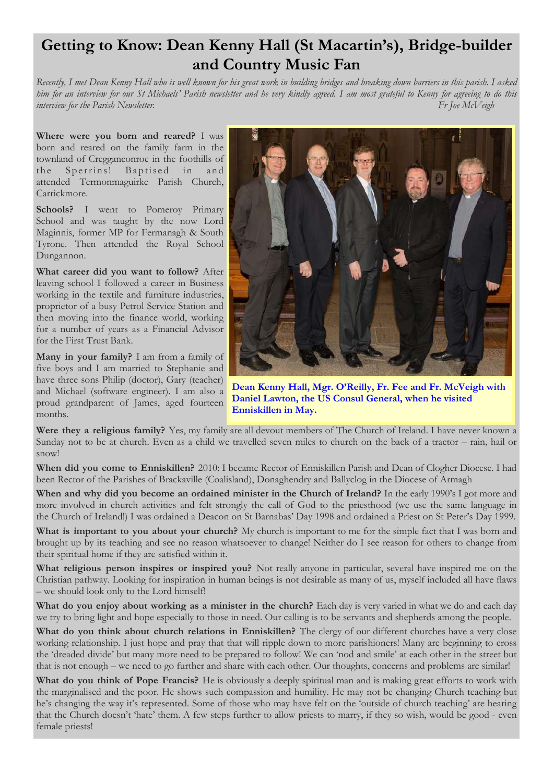# **Getting to Know: Dean Kenny Hall (St Macartin's), Bridge-builder and Country Music Fan**

*Recently, I met Dean Kenny Hall who is well known for his great work in building bridges and breaking down barriers in this parish. I asked him for an interview for our St Michaels' Parish newsletter and he very kindly agreed. I am most grateful to Kenny for agreeing to do this interview for the Parish Newsletter. Fr Joe McVeigh*

**Where were you born and reared?** I was born and reared on the family farm in the townland of Cregganconroe in the foothills of the Sperrins! Baptised in and attended Termonmaguirke Parish Church, Carrickmore.

**Schools?** I went to Pomeroy Primary School and was taught by the now Lord Maginnis, former MP for Fermanagh & South Tyrone. Then attended the Royal School Dungannon.

**What career did you want to follow?** After leaving school I followed a career in Business working in the textile and furniture industries, proprietor of a busy Petrol Service Station and then moving into the finance world, working for a number of years as a Financial Advisor for the First Trust Bank.

**Many in your family?** I am from a family of five boys and I am married to Stephanie and have three sons Philip (doctor), Gary (teacher) and Michael (software engineer). I am also a proud grandparent of James, aged fourteen months.



**Dean Kenny Hall, Mgr. O'Reilly, Fr. Fee and Fr. McVeigh with Daniel Lawton, the US Consul General, when he visited Enniskillen in May.** 

**Were they a religious family?** Yes, my family are all devout members of The Church of Ireland. I have never known a Sunday not to be at church. Even as a child we travelled seven miles to church on the back of a tractor – rain, hail or snow!

**When did you come to Enniskillen?** 2010: I became Rector of Enniskillen Parish and Dean of Clogher Diocese. I had been Rector of the Parishes of Brackaville (Coalisland), Donaghendry and Ballyclog in the Diocese of Armagh

When and why did you become an ordained minister in the Church of Ireland? In the early 1990's I got more and more involved in church activities and felt strongly the call of God to the priesthood (we use the same language in the Church of Ireland!) I was ordained a Deacon on St Barnabas' Day 1998 and ordained a Priest on St Peter's Day 1999.

**What is important to you about your church?** My church is important to me for the simple fact that I was born and brought up by its teaching and see no reason whatsoever to change! Neither do I see reason for others to change from their spiritual home if they are satisfied within it.

**What religious person inspires or inspired you?** Not really anyone in particular, several have inspired me on the Christian pathway. Looking for inspiration in human beings is not desirable as many of us, myself included all have flaws – we should look only to the Lord himself!

What do you enjoy about working as a minister in the church? Each day is very varied in what we do and each day we try to bring light and hope especially to those in need. Our calling is to be servants and shepherds among the people.

**What do you think about church relations in Enniskillen?** The clergy of our different churches have a very close working relationship. I just hope and pray that that will ripple down to more parishioners! Many are beginning to cross the 'dreaded divide' but many more need to be prepared to follow! We can 'nod and smile' at each other in the street but that is not enough – we need to go further and share with each other. Our thoughts, concerns and problems are similar!

**What do you think of Pope Francis?** He is obviously a deeply spiritual man and is making great efforts to work with the marginalised and the poor. He shows such compassion and humility. He may not be changing Church teaching but he's changing the way it's represented. Some of those who may have felt on the 'outside of church teaching' are hearing that the Church doesn't 'hate' them. A few steps further to allow priests to marry, if they so wish, would be good - even female priests!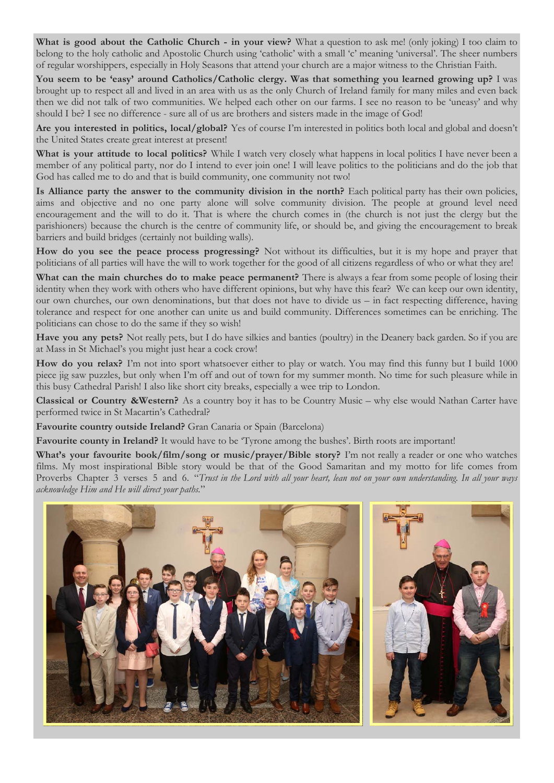**What is good about the Catholic Church - in your view?** What a question to ask me! (only joking) I too claim to belong to the holy catholic and Apostolic Church using 'catholic' with a small 'c' meaning 'universal'. The sheer numbers of regular worshippers, especially in Holy Seasons that attend your church are a major witness to the Christian Faith.

**You seem to be 'easy' around Catholics/Catholic clergy. Was that something you learned growing up?** I was brought up to respect all and lived in an area with us as the only Church of Ireland family for many miles and even back then we did not talk of two communities. We helped each other on our farms. I see no reason to be 'uneasy' and why should I be? I see no difference - sure all of us are brothers and sisters made in the image of God!

**Are you interested in politics, local/global?** Yes of course I'm interested in politics both local and global and doesn't the United States create great interest at present!

**What is your attitude to local politics?** While I watch very closely what happens in local politics I have never been a member of any political party, nor do I intend to ever join one! I will leave politics to the politicians and do the job that God has called me to do and that is build community, one community not two!

**Is Alliance party the answer to the community division in the north?** Each political party has their own policies, aims and objective and no one party alone will solve community division. The people at ground level need encouragement and the will to do it. That is where the church comes in (the church is not just the clergy but the parishioners) because the church is the centre of community life, or should be, and giving the encouragement to break barriers and build bridges (certainly not building walls).

**How do you see the peace process progressing?** Not without its difficulties, but it is my hope and prayer that politicians of all parties will have the will to work together for the good of all citizens regardless of who or what they are!

**What can the main churches do to make peace permanent?** There is always a fear from some people of losing their identity when they work with others who have different opinions, but why have this fear? We can keep our own identity, our own churches, our own denominations, but that does not have to divide us – in fact respecting difference, having tolerance and respect for one another can unite us and build community. Differences sometimes can be enriching. The politicians can chose to do the same if they so wish!

**Have you any pets?** Not really pets, but I do have silkies and banties (poultry) in the Deanery back garden. So if you are at Mass in St Michael's you might just hear a cock crow!

How do you relax? I'm not into sport whatsoever either to play or watch. You may find this funny but I build 1000 piece jig saw puzzles, but only when I'm off and out of town for my summer month. No time for such pleasure while in this busy Cathedral Parish! I also like short city breaks, especially a wee trip to London.

**Classical or Country &Western?** As a country boy it has to be Country Music – why else would Nathan Carter have performed twice in St Macartin's Cathedral?

**Favourite country outside Ireland?** Gran Canaria or Spain (Barcelona)

**Favourite county in Ireland?** It would have to be "Tyrone among the bushes'. Birth roots are important!

**What's your favourite book/film/song or music/prayer/Bible story?** I'm not really a reader or one who watches films. My most inspirational Bible story would be that of the Good Samaritan and my motto for life comes from Proverbs Chapter 3 verses 5 and 6. "*Trust in the Lord with all your heart, lean not on your own understanding. In all your ways acknowledge Him and He will direct your paths.*"



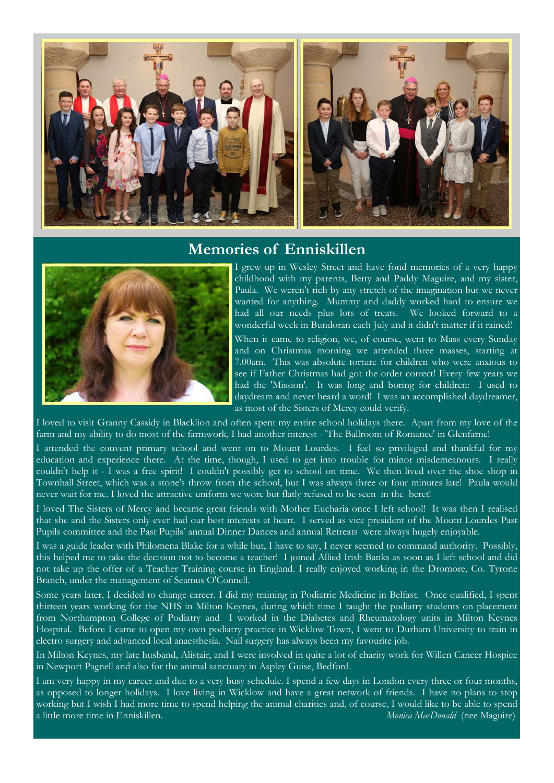



#### **Memories of Enniskillen**



I grew up in Wesley Street and have fond memories of a very happy childhood with my parents, Betty and Paddy Maguire, and my sister, Paula. We weren't rich by any stretch of the imagination but we never wanted for anything. Mummy and daddy worked hard to ensure we had all our needs plus lots of treats. We looked forward to a wonderful week in Bundoran each July and it didn't matter if it rained!

When it came to religion, we, of course, went to Mass every Sunday and on Christmas morning we attended three masses, starting at 7.00am. This was absolute torture for children who were anxious to see if Father Christmas had got the order correct! Every few years we had the 'Mission'. It was long and boring for children: I used to daydream and never heard a word! I was an accomplished daydreamer, as most of the Sisters of Mercy could verify.

I loved to visit Granny Cassidy in Blacklion and often spent my entire school holidays there. Apart from my love of the farm and my ability to do most of the farmwork, I had another interest - 'The Ballroom of Romance' in Glenfarne!

I attended the convent primary school and went on to Mount Lourdes. I feel so privileged and thankful for my education and experience there. At the time, though, I used to get into trouble for minor misdemeanours. I really couldn't help it - I was a free spirit! I couldn't possibly get to school on time. We then lived over the shoe shop in Townhall Street, which was a stone's throw from the school, but I was always three or four minutes late! Paula would never wait for me. I loved the attractive uniform we wore but flatly refused to be seen in the beret!

I loved The Sisters of Mercy and became great friends with Mother Eucharia once I left school! It was then I realised that she and the Sisters only ever had our best interests at heart. I served as vice president of the Mount Lourdes Past Pupils committee and the Past Pupils' annual Dinner Dances and annual Retreats were always hugely enjoyable.

I was a guide leader with Philomena Blake for a while but, I have to say, I never seemed to command authority. Possibly, this helped me to take the decision not to become a teacher! I joined Allied Irish Banks as soon as I left school and did not take up the offer of a Teacher Training course in England. I really enjoyed working in the Dromore, Co. Tyrone Branch, under the management of Seamus O'Connell.

Some years later, I decided to change career. I did my training in Podiatric Medicine in Belfast. Once qualified, I spent thirteen years working for the NHS in Milton Keynes, during which time I taught the podiatry students on placement from Northampton College of Podiatry and I worked in the Diabetes and Rheumatology units in Milton Keynes Hospital. Before I came to open my own podiatry practice in Wicklow Town, I went to Durham University to train in electro surgery and advanced local anaesthesia. Nail surgery has always been my favourite job.

In Milton Keynes, my late husband, Alistair, and I were involved in quite a lot of charity work for Willen Cancer Hospice in Newport Pagnell and also for the animal sanctuary in Aspley Guise, Bedford.

I am very happy in my career and due to a very busy schedule. I spend a few days in London every three or four months, as opposed to longer holidays. I love living in Wicklow and have a great network of friends. I have no plans to stop working but I wish I had more time to spend helping the animal charities and, of course, I would like to be able to spend a little more time in Enniskillen. *Monica MacDonald* (nee Maguire)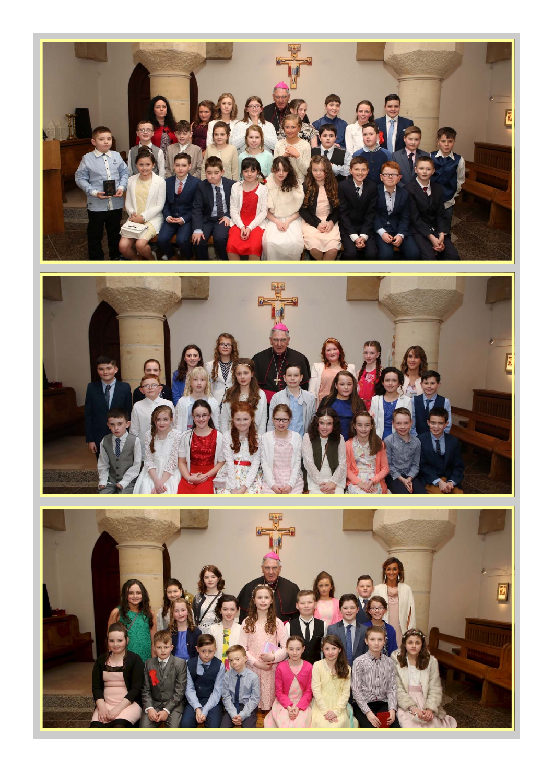



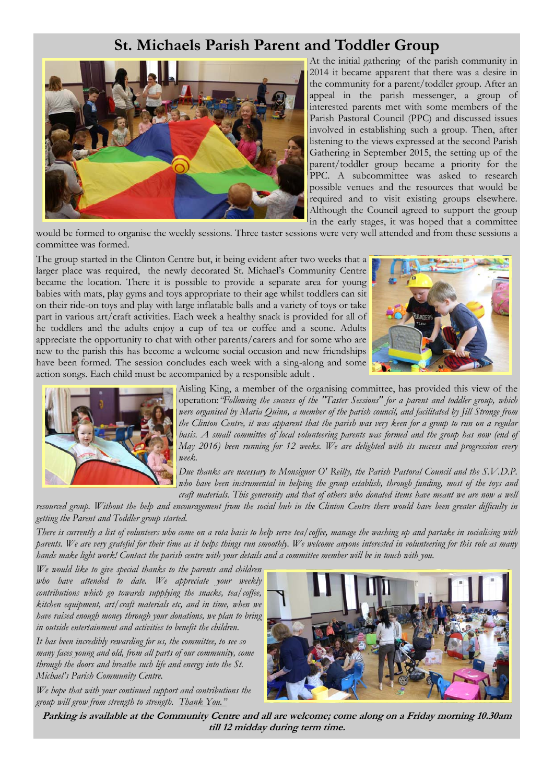#### **St. Michaels Parish Parent and Toddler Group**



At the initial gathering of the parish community in 2014 it became apparent that there was a desire in the community for a parent/toddler group. After an appeal in the parish messenger, a group of interested parents met with some members of the Parish Pastoral Council (PPC) and discussed issues involved in establishing such a group. Then, after listening to the views expressed at the second Parish Gathering in September 2015, the setting up of the parent/toddler group became a priority for the PPC. A subcommittee was asked to research possible venues and the resources that would be required and to visit existing groups elsewhere. Although the Council agreed to support the group in the early stages, it was hoped that a committee

would be formed to organise the weekly sessions. Three taster sessions were very well attended and from these sessions a committee was formed.

The group started in the Clinton Centre but, it being evident after two weeks that a larger place was required, the newly decorated St. Michael's Community Centre became the location. There it is possible to provide a separate area for young babies with mats, play gyms and toys appropriate to their age whilst toddlers can sit on their ride-on toys and play with large inflatable balls and a variety of toys or take part in various art/craft activities. Each week a healthy snack is provided for all of he toddlers and the adults enjoy a cup of tea or coffee and a scone. Adults appreciate the opportunity to chat with other parents/carers and for some who are new to the parish this has become a welcome social occasion and new friendships have been formed. The session concludes each week with a sing-along and some action songs. Each child must be accompanied by a responsible adult .





Aisling King, a member of the organising committee, has provided this view of the operation:*"Following the success of the "Taster Sessions" for a parent and toddler group, which were organised by Maria Quinn, a member of the parish council, and facilitated by Jill Stronge from the Clinton Centre, it was apparent that the parish was very keen for a group to run on a regular*  basis. A small committee of local volunteering parents was formed and the group has now (end of *May 2016) been running for 12 weeks. We are delighted with its success and progression every week.* 

*Due thanks are necessary to Monsignor O' Reilly, the Parish Pastoral Council and the S.V.D.P. who have been instrumental in helping the group establish, through funding, most of the toys and craft materials. This generosity and that of others who donated items have meant we are now a well* 

resourced group. Without the help and encouragement from the social hub in the Clinton Centre there would have been greater difficulty in *getting the Parent and Toddler group started.* 

*There is currently a list of volunteers who come on a rota basis to help serve tea/coffee, manage the washing up and partake in socialising with parents. We are very grateful for their time as it helps things run smoothly. We welcome anyone interested in volunteering for this role as many hands make light work! Contact the parish centre with your details and a committee member will be in touch with you.* 

*We would like to give special thanks to the parents and children who have attended to date. We appreciate your weekly contributions which go towards supplying the snacks, tea/coffee, kitchen equipment, art/craft materials etc, and in time, when we have raised enough money through your donations, we plan to bring in outside entertainment and activities to benefit the children.* 

*It has been incredibly rewarding for us, the committee, to see so many faces young and old, from all parts of our community, come through the doors and breathe such life and energy into the St. Michael's Parish Community Centre.* 

*We hope that with your continued support and contributions the group will grow from strength to strength. Thank You."*



**Parking is available at the Community Centre and all are welcome; come along on a Friday morning 10.30am till 12 midday during term time.**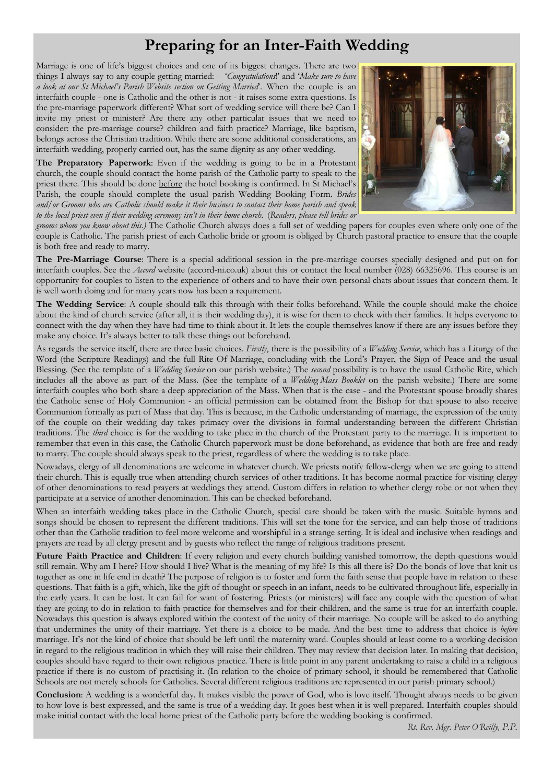# **Preparing for an Inter-Faith Wedding**

Marriage is one of life's biggest choices and one of its biggest changes. There are two things I always say to any couple getting married: - '*Congratulations*!' and '*Make sure to have a look at our St Michael's Parish Website section on Getting Married*'. When the couple is an interfaith couple - one is Catholic and the other is not - it raises some extra questions. Is the pre-marriage paperwork different? What sort of wedding service will there be? Can I invite my priest or minister? Are there any other particular issues that we need to consider: the pre-marriage course? children and faith practice? Marriage, like baptism, belongs across the Christian tradition. While there are some additional considerations, an interfaith wedding, properly carried out, has the same dignity as any other wedding.

**The Preparatory Paperwork**: Even if the wedding is going to be in a Protestant church, the couple should contact the home parish of the Catholic party to speak to the priest there. This should be done before the hotel booking is confirmed. In St Michael's Parish, the couple should complete the usual parish Wedding Booking Form. *Brides and/or Grooms who are Catholic should make it their business to contact their home parish and speak to the local priest even if their wedding ceremony isn't in their home church.* (*Readers, please tell brides or* 



*grooms whom you know about this.)* The Catholic Church always does a full set of wedding papers for couples even where only one of the couple is Catholic. The parish priest of each Catholic bride or groom is obliged by Church pastoral practice to ensure that the couple is both free and ready to marry.

**The Pre-Marriage Course**: There is a special additional session in the pre-marriage courses specially designed and put on for interfaith couples. See the *Accord* website (accord-ni.co.uk) about this or contact the local number (028) 66325696. This course is an opportunity for couples to listen to the experience of others and to have their own personal chats about issues that concern them. It is well worth doing and for many years now has been a requirement.

**The Wedding Service**: A couple should talk this through with their folks beforehand. While the couple should make the choice about the kind of church service (after all, it is their wedding day), it is wise for them to check with their families. It helps everyone to connect with the day when they have had time to think about it. It lets the couple themselves know if there are any issues before they make any choice. It's always better to talk these things out beforehand.

As regards the service itself, there are three basic choices. *Firstly*, there is the possibility of a *Wedding Service*, which has a Liturgy of the Word (the Scripture Readings) and the full Rite Of Marriage, concluding with the Lord's Prayer, the Sign of Peace and the usual Blessing. (See the template of a *Wedding Service* on our parish website.) The *second* possibility is to have the usual Catholic Rite, which includes all the above as part of the Mass. (See the template of a *Wedding Mass Booklet* on the parish website.) There are some interfaith couples who both share a deep appreciation of the Mass. When that is the case - and the Protestant spouse broadly shares the Catholic sense of Holy Communion - an official permission can be obtained from the Bishop for that spouse to also receive Communion formally as part of Mass that day. This is because, in the Catholic understanding of marriage, the expression of the unity of the couple on their wedding day takes primacy over the divisions in formal understanding between the different Christian traditions. The *third* choice is for the wedding to take place in the church of the Protestant party to the marriage. It is important to remember that even in this case, the Catholic Church paperwork must be done beforehand, as evidence that both are free and ready to marry. The couple should always speak to the priest, regardless of where the wedding is to take place.

Nowadays, clergy of all denominations are welcome in whatever church. We priests notify fellow-clergy when we are going to attend their church. This is equally true when attending church services of other traditions. It has become normal practice for visiting clergy of other denominations to read prayers at weddings they attend. Custom differs in relation to whether clergy robe or not when they participate at a service of another denomination. This can be checked beforehand.

When an interfaith wedding takes place in the Catholic Church, special care should be taken with the music. Suitable hymns and songs should be chosen to represent the different traditions. This will set the tone for the service, and can help those of traditions other than the Catholic tradition to feel more welcome and worshipful in a strange setting. It is ideal and inclusive when readings and prayers are read by all clergy present and by guests who reflect the range of religious traditions present.

**Future Faith Practice and Children**: If every religion and every church building vanished tomorrow, the depth questions would still remain. Why am I here? How should I live? What is the meaning of my life? Is this all there is? Do the bonds of love that knit us together as one in life end in death? The purpose of religion is to foster and form the faith sense that people have in relation to these questions. That faith is a gift, which, like the gift of thought or speech in an infant, needs to be cultivated throughout life, especially in the early years. It can be lost. It can fail for want of fostering. Priests (or ministers) will face any couple with the question of what they are going to do in relation to faith practice for themselves and for their children, and the same is true for an interfaith couple. Nowadays this question is always explored within the context of the unity of their marriage. No couple will be asked to do anything that undermines the unity of their marriage. Yet there is a choice to be made. And the best time to address that choice is *before* marriage. It's not the kind of choice that should be left until the maternity ward. Couples should at least come to a working decision in regard to the religious tradition in which they will raise their children. They may review that decision later. In making that decision, couples should have regard to their own religious practice. There is little point in any parent undertaking to raise a child in a religious practice if there is no custom of practising it. (In relation to the choice of primary school, it should be remembered that Catholic Schools are not merely schools for Catholics. Several different religious traditions are represented in our parish primary school.)

**Conclusion**: A wedding is a wonderful day. It makes visible the power of God, who is love itself. Thought always needs to be given to how love is best expressed, and the same is true of a wedding day. It goes best when it is well prepared. Interfaith couples should make initial contact with the local home priest of the Catholic party before the wedding booking is confirmed.